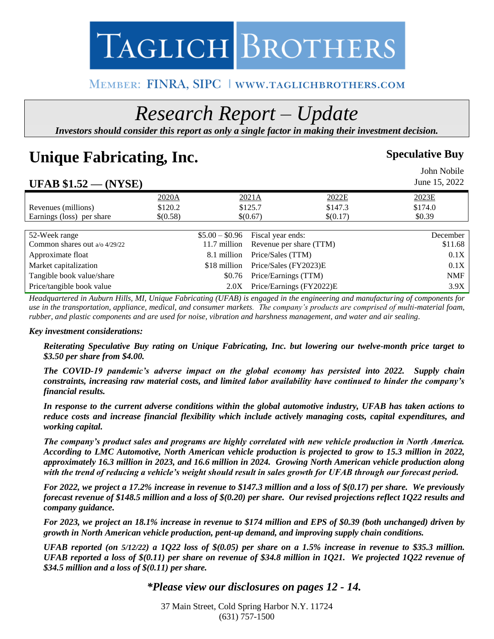# TAGLICH BROTHERS

### MEMBER: FINRA, SIPC | WWW.TAGLICHBROTHERS.COM

## *Research Report – Update*

*Investors should consider this report as only a single factor in making their investment decision.*

### **Unique Fabricating, Inc.** Speculative Buy

#### John Nobile **UFAB \$1.52 — (NYSE)**  June 15, 2022 2020A 2021A 2022E 2023E Revenues (millions) \$120.2 \$125.7 \$147.3 \$174.0 Earnings (loss) per share  $\{(0.58)\}\$   $\{(0.67)\}\$   $\{(0.7)\}\$   $\{(0.7)\}\$   $\{0.39\}\$ 52-Week range \$5.00 – \$0.96 Fiscal year ends: December Common shares out a/o 4/29/22 11.7 million Revenue per share (TTM) \$11.68 Approximate float 6.1 million Price/Sales (TTM) 6.1X Market capitalization  $$18$  million Price/Sales (FY2023)E 0.1X Tangible book value/share  $$0.76$  Price/Earnings (TTM) NMF Price/tangible book value 2.0X Price/Earnings (FY2022)E 3.9X

*Headquartered in Auburn Hills, MI, Unique Fabricating (UFAB) is engaged in the engineering and manufacturing of components for use in the transportation, appliance, medical, and consumer markets. The company's products are comprised of multi-material foam, rubber, and plastic components and are used for noise, vibration and harshness management, and water and air sealing.*

#### *Key investment considerations:*

*Reiterating Speculative Buy rating on Unique Fabricating, Inc. but lowering our twelve-month price target to \$3.50 per share from \$4.00.* 

*The COVID-19 pandemic's adverse impact on the global economy has persisted into 2022. Supply chain constraints, increasing raw material costs, and limited labor availability have continued to hinder the company's financial results.* 

*In response to the current adverse conditions within the global automotive industry, UFAB has taken actions to reduce costs and increase financial flexibility which include actively managing costs, capital expenditures, and working capital.*

*The company's product sales and programs are highly correlated with new vehicle production in North America. According to LMC Automotive, North American vehicle production is projected to grow to 15.3 million in 2022, approximately 16.3 million in 2023, and 16.6 million in 2024. Growing North American vehicle production along with the trend of reducing a vehicle's weight should result in sales growth for UFAB through our forecast period.* 

*For 2022, we project a 17.2% increase in revenue to \$147.3 million and a loss of \$(0.17) per share. We previously forecast revenue of \$148.5 million and a loss of \$(0.20) per share. Our revised projections reflect 1Q22 results and company guidance.* 

*For 2023, we project an 18.1% increase in revenue to \$174 million and EPS of \$0.39 (both unchanged) driven by growth in North American vehicle production, pent-up demand, and improving supply chain conditions.* 

*UFAB reported (on 5/12/22) a 1Q22 loss of \$(0.05) per share on a 1.5% increase in revenue to \$35.3 million. UFAB reported a loss of \$(0.11) per share on revenue of \$34.8 million in 1Q21. We projected 1Q22 revenue of \$34.5 million and a loss of \$(0.11) per share.* 

#### *\*Please view our disclosures on pages 12 - 14.*

37 Main Street, Cold Spring Harbor N.Y. 11724 (631) 757-1500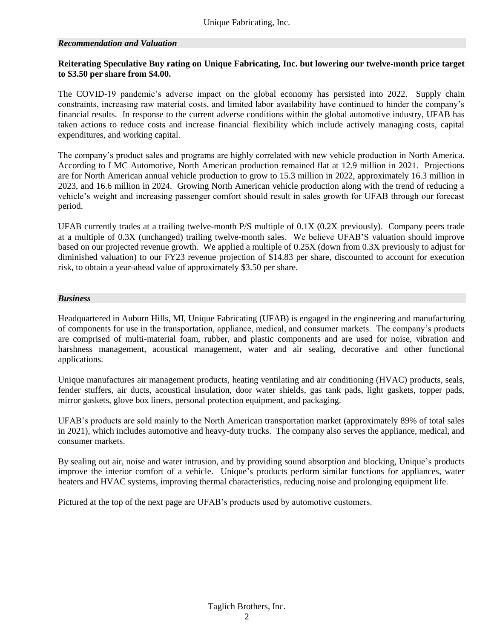#### *Recommendation and Valuation*

#### **Reiterating Speculative Buy rating on Unique Fabricating, Inc. but lowering our twelve-month price target to \$3.50 per share from \$4.00.**

The COVID-19 pandemic's adverse impact on the global economy has persisted into 2022. Supply chain constraints, increasing raw material costs, and limited labor availability have continued to hinder the company's financial results. In response to the current adverse conditions within the global automotive industry, UFAB has taken actions to reduce costs and increase financial flexibility which include actively managing costs, capital expenditures, and working capital.

The company's product sales and programs are highly correlated with new vehicle production in North America. According to LMC Automotive, North American production remained flat at 12.9 million in 2021. Projections are for North American annual vehicle production to grow to 15.3 million in 2022, approximately 16.3 million in 2023, and 16.6 million in 2024. Growing North American vehicle production along with the trend of reducing a vehicle's weight and increasing passenger comfort should result in sales growth for UFAB through our forecast period.

UFAB currently trades at a trailing twelve-month P/S multiple of 0.1X (0.2X previously). Company peers trade at a multiple of 0.3X (unchanged) trailing twelve-month sales. We believe UFAB'S valuation should improve based on our projected revenue growth. We applied a multiple of 0.25X (down from 0.3X previously to adjust for diminished valuation) to our FY23 revenue projection of \$14.83 per share, discounted to account for execution risk, to obtain a year-ahead value of approximately \$3.50 per share.

#### *Business*

Headquartered in Auburn Hills, MI, Unique Fabricating (UFAB) is engaged in the engineering and manufacturing of components for use in the transportation, appliance, medical, and consumer markets. The company's products are comprised of multi-material foam, rubber, and plastic components and are used for noise, vibration and harshness management, acoustical management, water and air sealing, decorative and other functional applications.

Unique manufactures air management products, heating ventilating and air conditioning (HVAC) products, seals, fender stuffers, air ducts, acoustical insulation, door water shields, gas tank pads, light gaskets, topper pads, mirror gaskets, glove box liners, personal protection equipment, and packaging.

UFAB's products are sold mainly to the North American transportation market (approximately 89% of total sales in 2021), which includes automotive and heavy-duty trucks. The company also serves the appliance, medical, and consumer markets.

By sealing out air, noise and water intrusion, and by providing sound absorption and blocking, Unique's products improve the interior comfort of a vehicle. Unique's products perform similar functions for appliances, water heaters and HVAC systems, improving thermal characteristics, reducing noise and prolonging equipment life.

Pictured at the top of the next page are UFAB's products used by automotive customers.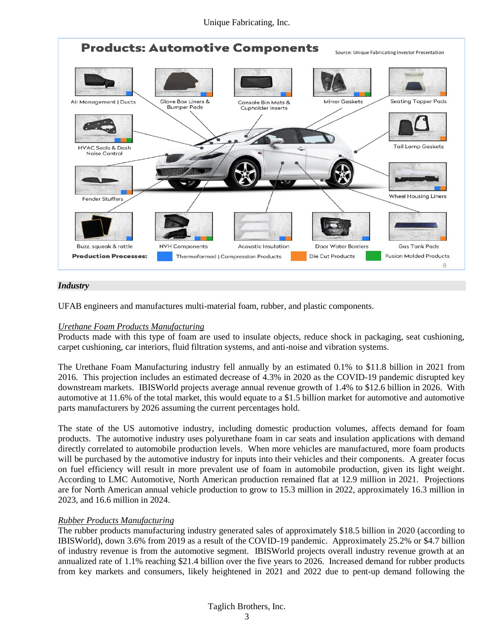

#### *Industry*

UFAB engineers and manufactures multi-material foam, rubber, and plastic components.

#### *Urethane Foam Products Manufacturing*

Products made with this type of foam are used to insulate objects, reduce shock in packaging, seat cushioning, carpet cushioning, car interiors, fluid filtration systems, and anti-noise and vibration systems.

The Urethane Foam Manufacturing industry fell annually by an estimated 0.1% to \$11.8 billion in 2021 from 2016. This projection includes an estimated decrease of 4.3% in 2020 as the COVID-19 pandemic disrupted key downstream markets. IBISWorld projects average annual revenue growth of 1.4% to \$12.6 billion in 2026. With automotive at 11.6% of the total market, this would equate to a \$1.5 billion market for automotive and automotive parts manufacturers by 2026 assuming the current percentages hold.

The state of the US automotive industry, including domestic production volumes, affects demand for foam products. The automotive industry uses polyurethane foam in car seats and insulation applications with demand directly correlated to automobile production levels. When more vehicles are manufactured, more foam products will be purchased by the automotive industry for inputs into their vehicles and their components. A greater focus on fuel efficiency will result in more prevalent use of foam in automobile production, given its light weight. According to LMC Automotive, North American production remained flat at 12.9 million in 2021. Projections are for North American annual vehicle production to grow to 15.3 million in 2022, approximately 16.3 million in 2023, and 16.6 million in 2024.

#### *Rubber Products Manufacturing*

The rubber products manufacturing industry generated sales of approximately \$18.5 billion in 2020 (according to IBISWorld), down 3.6% from 2019 as a result of the COVID-19 pandemic. Approximately 25.2% or \$4.7 billion of industry revenue is from the automotive segment. IBISWorld projects overall industry revenue growth at an annualized rate of 1.1% reaching \$21.4 billion over the five years to 2026. Increased demand for rubber products from key markets and consumers, likely heightened in 2021 and 2022 due to pent-up demand following the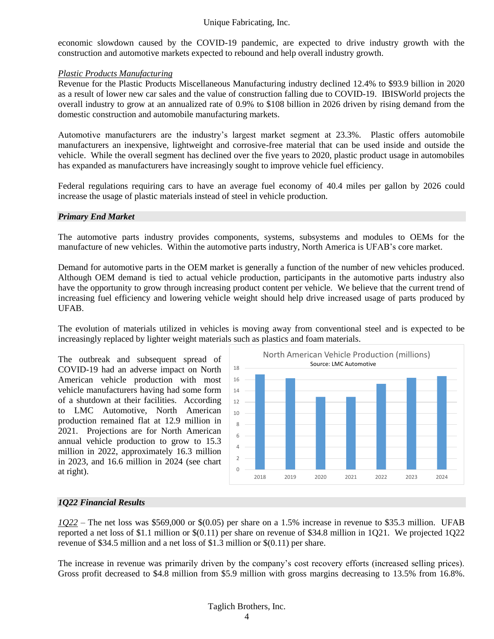economic slowdown caused by the COVID-19 pandemic, are expected to drive industry growth with the construction and automotive markets expected to rebound and help overall industry growth.

#### *Plastic Products Manufacturing*

Revenue for the Plastic Products Miscellaneous Manufacturing industry declined 12.4% to \$93.9 billion in 2020 as a result of lower new car sales and the value of construction falling due to COVID-19. IBISWorld projects the overall industry to grow at an annualized rate of 0.9% to \$108 billion in 2026 driven by rising demand from the domestic construction and automobile manufacturing markets.

Automotive manufacturers are the industry's largest market segment at 23.3%. Plastic offers automobile manufacturers an inexpensive, lightweight and corrosive-free material that can be used inside and outside the vehicle. While the overall segment has declined over the five years to 2020, plastic product usage in automobiles has expanded as manufacturers have increasingly sought to improve vehicle fuel efficiency.

Federal regulations requiring cars to have an average fuel economy of 40.4 miles per gallon by 2026 could increase the usage of plastic materials instead of steel in vehicle production.

#### *Primary End Market*

The automotive parts industry provides components, systems, subsystems and modules to OEMs for the manufacture of new vehicles. Within the automotive parts industry, North America is UFAB's core market.

Demand for automotive parts in the OEM market is generally a function of the number of new vehicles produced. Although OEM demand is tied to actual vehicle production, participants in the automotive parts industry also have the opportunity to grow through increasing product content per vehicle. We believe that the current trend of increasing fuel efficiency and lowering vehicle weight should help drive increased usage of parts produced by UFAB.

The evolution of materials utilized in vehicles is moving away from conventional steel and is expected to be increasingly replaced by lighter weight materials such as plastics and foam materials.

The outbreak and subsequent spread of COVID-19 had an adverse impact on North American vehicle production with most vehicle manufacturers having had some form of a shutdown at their facilities. According to LMC Automotive, North American production remained flat at 12.9 million in 2021. Projections are for North American annual vehicle production to grow to 15.3 million in 2022, approximately 16.3 million in 2023, and 16.6 million in 2024 (see chart at right).



#### *1Q22 Financial Results*

*1Q22* – The net loss was \$569,000 or \$(0.05) per share on a 1.5% increase in revenue to \$35.3 million. UFAB reported a net loss of \$1.1 million or \$(0.11) per share on revenue of \$34.8 million in 1Q21. We projected 1Q22 revenue of \$34.5 million and a net loss of \$1.3 million or \$(0.11) per share.

The increase in revenue was primarily driven by the company's cost recovery efforts (increased selling prices). Gross profit decreased to \$4.8 million from \$5.9 million with gross margins decreasing to 13.5% from 16.8%.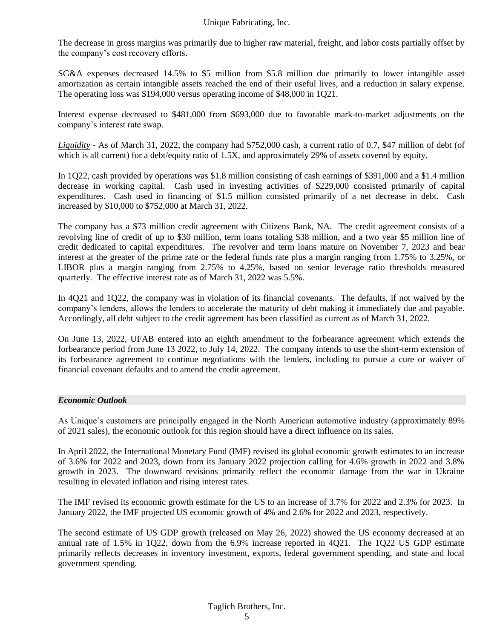The decrease in gross margins was primarily due to higher raw material, freight, and labor costs partially offset by the company's cost recovery efforts.

SG&A expenses decreased 14.5% to \$5 million from \$5.8 million due primarily to lower intangible asset amortization as certain intangible assets reached the end of their useful lives, and a reduction in salary expense. The operating loss was \$194,000 versus operating income of \$48,000 in 1Q21.

Interest expense decreased to \$481,000 from \$693,000 due to favorable mark-to-market adjustments on the company's interest rate swap.

*Liquidity -* As of March 31, 2022, the company had \$752,000 cash, a current ratio of 0.7, \$47 million of debt (of which is all current) for a debt/equity ratio of 1.5X, and approximately 29% of assets covered by equity.

In 1Q22, cash provided by operations was \$1.8 million consisting of cash earnings of \$391,000 and a \$1.4 million decrease in working capital. Cash used in investing activities of \$229,000 consisted primarily of capital expenditures. Cash used in financing of \$1.5 million consisted primarily of a net decrease in debt. Cash increased by \$10,000 to \$752,000 at March 31, 2022.

The company has a \$73 million credit agreement with Citizens Bank, NA. The credit agreement consists of a revolving line of credit of up to \$30 million, term loans totaling \$38 million, and a two year \$5 million line of credit dedicated to capital expenditures. The revolver and term loans mature on November 7, 2023 and bear interest at the greater of the prime rate or the federal funds rate plus a margin ranging from 1.75% to 3.25%, or LIBOR plus a margin ranging from 2.75% to 4.25%, based on senior leverage ratio thresholds measured quarterly. The effective interest rate as of March 31, 2022 was 5.5%.

In 4Q21 and 1Q22, the company was in violation of its financial covenants. The defaults, if not waived by the company's lenders, allows the lenders to accelerate the maturity of debt making it immediately due and payable. Accordingly, all debt subject to the credit agreement has been classified as current as of March 31, 2022.

On June 13, 2022, UFAB entered into an eighth amendment to the forbearance agreement which extends the forbearance period from June 13 2022, to July 14, 2022. The company intends to use the short-term extension of its forbearance agreement to continue negotiations with the lenders, including to pursue a cure or waiver of financial covenant defaults and to amend the credit agreement.

#### *Economic Outlook*

As Unique's customers are principally engaged in the North American automotive industry (approximately 89% of 2021 sales), the economic outlook for this region should have a direct influence on its sales.

In April 2022, the International Monetary Fund (IMF) revised its global economic growth estimates to an increase of 3.6% for 2022 and 2023, down from its January 2022 projection calling for 4.6% growth in 2022 and 3.8% growth in 2023. The downward revisions primarily reflect the economic damage from the war in Ukraine resulting in elevated inflation and rising interest rates.

The IMF revised its economic growth estimate for the US to an increase of 3.7% for 2022 and 2.3% for 2023. In January 2022, the IMF projected US economic growth of 4% and 2.6% for 2022 and 2023, respectively.

The second estimate of US GDP growth (released on May 26, 2022) showed the US economy decreased at an annual rate of 1.5% in 1Q22, down from the 6.9% increase reported in 4Q21. The 1Q22 US GDP estimate primarily reflects decreases in inventory investment, exports, federal government spending, and state and local government spending.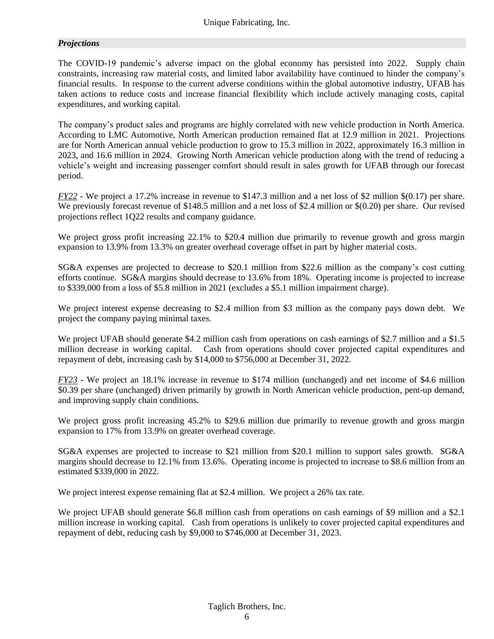#### *Projections*

The COVID-19 pandemic's adverse impact on the global economy has persisted into 2022. Supply chain constraints, increasing raw material costs, and limited labor availability have continued to hinder the company's financial results. In response to the current adverse conditions within the global automotive industry, UFAB has taken actions to reduce costs and increase financial flexibility which include actively managing costs, capital expenditures, and working capital.

The company's product sales and programs are highly correlated with new vehicle production in North America. According to LMC Automotive, North American production remained flat at 12.9 million in 2021. Projections are for North American annual vehicle production to grow to 15.3 million in 2022, approximately 16.3 million in 2023, and 16.6 million in 2024. Growing North American vehicle production along with the trend of reducing a vehicle's weight and increasing passenger comfort should result in sales growth for UFAB through our forecast period.

*FY22* - We project a 17.2% increase in revenue to \$147.3 million and a net loss of \$2 million \$(0.17) per share. We previously forecast revenue of \$148.5 million and a net loss of \$2.4 million or \$(0.20) per share. Our revised projections reflect 1Q22 results and company guidance.

We project gross profit increasing 22.1% to \$20.4 million due primarily to revenue growth and gross margin expansion to 13.9% from 13.3% on greater overhead coverage offset in part by higher material costs.

SG&A expenses are projected to decrease to \$20.1 million from \$22.6 million as the company's cost cutting efforts continue. SG&A margins should decrease to 13.6% from 18%. Operating income is projected to increase to \$339,000 from a loss of \$5.8 million in 2021 (excludes a \$5.1 million impairment charge).

We project interest expense decreasing to \$2.4 million from \$3 million as the company pays down debt. We project the company paying minimal taxes.

We project UFAB should generate \$4.2 million cash from operations on cash earnings of \$2.7 million and a \$1.5 million decrease in working capital. Cash from operations should cover projected capital expenditures and repayment of debt, increasing cash by \$14,000 to \$756,000 at December 31, 2022.

*FY23* - We project an 18.1% increase in revenue to \$174 million (unchanged) and net income of \$4.6 million \$0.39 per share (unchanged) driven primarily by growth in North American vehicle production, pent-up demand, and improving supply chain conditions.

We project gross profit increasing 45.2% to \$29.6 million due primarily to revenue growth and gross margin expansion to 17% from 13.9% on greater overhead coverage.

SG&A expenses are projected to increase to \$21 million from \$20.1 million to support sales growth. SG&A margins should decrease to 12.1% from 13.6%. Operating income is projected to increase to \$8.6 million from an estimated \$339,000 in 2022.

We project interest expense remaining flat at \$2.4 million. We project a 26% tax rate.

We project UFAB should generate \$6.8 million cash from operations on cash earnings of \$9 million and a \$2.1 million increase in working capital. Cash from operations is unlikely to cover projected capital expenditures and repayment of debt, reducing cash by \$9,000 to \$746,000 at December 31, 2023.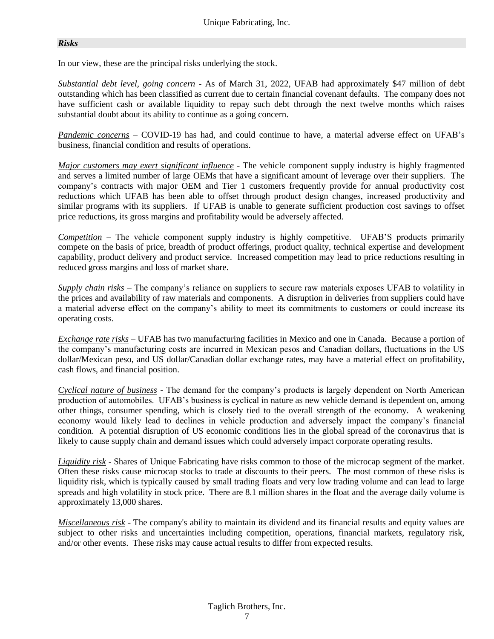#### *Risks*

In our view, these are the principal risks underlying the stock.

*Substantial debt level, going concern* - As of March 31, 2022, UFAB had approximately \$47 million of debt outstanding which has been classified as current due to certain financial covenant defaults. The company does not have sufficient cash or available liquidity to repay such debt through the next twelve months which raises substantial doubt about its ability to continue as a going concern.

*Pandemic concerns* – COVID-19 has had, and could continue to have, a material adverse effect on UFAB's business, financial condition and results of operations.

*Major customers may exert significant influence* - The vehicle component supply industry is highly fragmented and serves a limited number of large OEMs that have a significant amount of leverage over their suppliers. The company's contracts with major OEM and Tier 1 customers frequently provide for annual productivity cost reductions which UFAB has been able to offset through product design changes, increased productivity and similar programs with its suppliers. If UFAB is unable to generate sufficient production cost savings to offset price reductions, its gross margins and profitability would be adversely affected.

*Competition* – The vehicle component supply industry is highly competitive. UFAB'S products primarily compete on the basis of price, breadth of product offerings, product quality, technical expertise and development capability, product delivery and product service. Increased competition may lead to price reductions resulting in reduced gross margins and loss of market share.

*Supply chain risks* – The company's reliance on suppliers to secure raw materials exposes UFAB to volatility in the prices and availability of raw materials and components. A disruption in deliveries from suppliers could have a material adverse effect on the company's ability to meet its commitments to customers or could increase its operating costs.

*Exchange rate risks* – UFAB has two manufacturing facilities in Mexico and one in Canada. Because a portion of the company's manufacturing costs are incurred in Mexican pesos and Canadian dollars, fluctuations in the US dollar/Mexican peso, and US dollar/Canadian dollar exchange rates, may have a material effect on profitability, cash flows, and financial position.

*Cyclical nature of business* - The demand for the company's products is largely dependent on North American production of automobiles. UFAB's business is cyclical in nature as new vehicle demand is dependent on, among other things, consumer spending, which is closely tied to the overall strength of the economy. A weakening economy would likely lead to declines in vehicle production and adversely impact the company's financial condition. A potential disruption of US economic conditions lies in the global spread of the coronavirus that is likely to cause supply chain and demand issues which could adversely impact corporate operating results.

*Liquidity risk* - Shares of Unique Fabricating have risks common to those of the microcap segment of the market. Often these risks cause microcap stocks to trade at discounts to their peers. The most common of these risks is liquidity risk, which is typically caused by small trading floats and very low trading volume and can lead to large spreads and high volatility in stock price. There are 8.1 million shares in the float and the average daily volume is approximately 13,000 shares.

*Miscellaneous risk* - The company's ability to maintain its dividend and its financial results and equity values are subject to other risks and uncertainties including competition, operations, financial markets, regulatory risk, and/or other events. These risks may cause actual results to differ from expected results.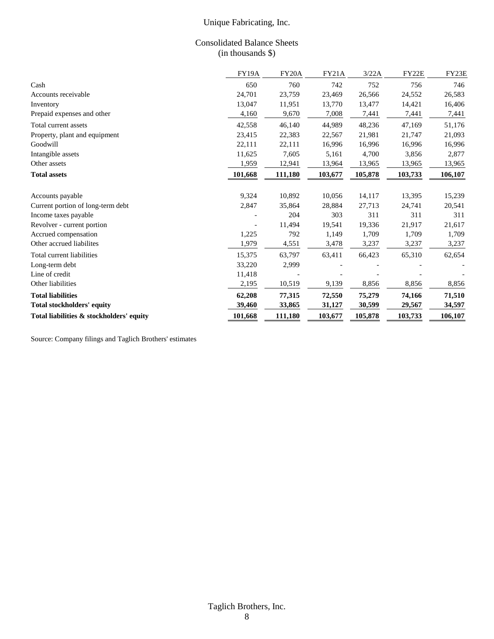#### Consolidated Balance Sheets (in thousands \$)

|                                          | <b>FY19A</b> | FY20A   | <b>FY21A</b> | 3/22A   | FY22E   | FY23E   |
|------------------------------------------|--------------|---------|--------------|---------|---------|---------|
| Cash                                     | 650          | 760     | 742          | 752     | 756     | 746     |
| Accounts receivable                      | 24,701       | 23,759  | 23,469       | 26,566  | 24,552  | 26,583  |
| Inventory                                | 13,047       | 11,951  | 13,770       | 13,477  | 14,421  | 16,406  |
| Prepaid expenses and other               | 4,160        | 9,670   | 7,008        | 7,441   | 7,441   | 7,441   |
| Total current assets                     | 42,558       | 46,140  | 44,989       | 48,236  | 47,169  | 51,176  |
| Property, plant and equipment            | 23,415       | 22,383  | 22,567       | 21,981  | 21,747  | 21,093  |
| Goodwill                                 | 22,111       | 22,111  | 16,996       | 16,996  | 16,996  | 16,996  |
| Intangible assets                        | 11,625       | 7,605   | 5,161        | 4,700   | 3,856   | 2,877   |
| Other assets                             | 1,959        | 12,941  | 13,964       | 13,965  | 13,965  | 13,965  |
| <b>Total assets</b>                      | 101,668      | 111,180 | 103,677      | 105,878 | 103,733 | 106,107 |
|                                          |              |         |              |         |         |         |
| Accounts payable                         | 9,324        | 10,892  | 10,056       | 14,117  | 13,395  | 15,239  |
| Current portion of long-term debt        | 2,847        | 35,864  | 28,884       | 27,713  | 24,741  | 20,541  |
| Income taxes payable                     |              | 204     | 303          | 311     | 311     | 311     |
| Revolver - current portion               |              | 11,494  | 19,541       | 19,336  | 21,917  | 21,617  |
| Accrued compensation                     | 1,225        | 792     | 1,149        | 1,709   | 1,709   | 1,709   |
| Other accrued liabilites                 | 1,979        | 4,551   | 3,478        | 3,237   | 3,237   | 3,237   |
| Total current liabilities                | 15,375       | 63,797  | 63,411       | 66,423  | 65,310  | 62,654  |
| Long-term debt                           | 33,220       | 2,999   |              |         |         |         |
| Line of credit                           | 11,418       |         |              |         |         |         |
| Other liabilities                        | 2,195        | 10,519  | 9,139        | 8,856   | 8,856   | 8,856   |
| <b>Total liabilities</b>                 | 62,208       | 77,315  | 72,550       | 75,279  | 74,166  | 71,510  |
| <b>Total stockholders' equity</b>        | 39,460       | 33,865  | 31,127       | 30,599  | 29,567  | 34,597  |
| Total liabilities & stockholders' equity | 101,668      | 111,180 | 103,677      | 105,878 | 103,733 | 106,107 |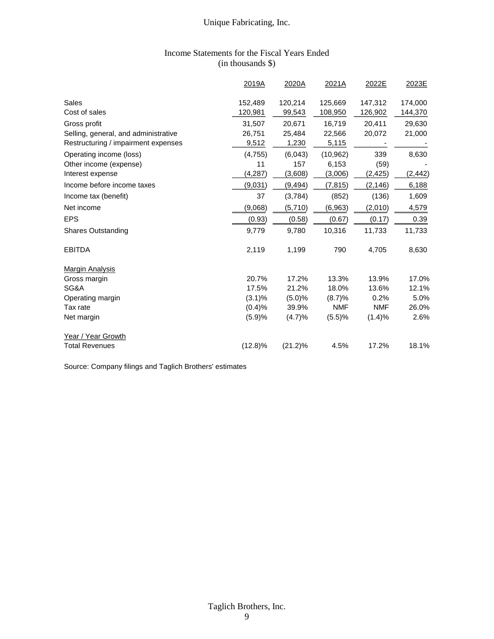#### Income Statements for the Fiscal Years Ended (in thousands \$)

|                                      | 2019A              | 2020A             | 2021A              | 2022E              | 2023E              |
|--------------------------------------|--------------------|-------------------|--------------------|--------------------|--------------------|
| Sales<br>Cost of sales               | 152,489<br>120,981 | 120,214<br>99,543 | 125,669<br>108,950 | 147,312<br>126,902 | 174,000<br>144,370 |
| Gross profit                         | 31,507             | 20,671            | 16,719             | 20,411             | 29,630             |
| Selling, general, and administrative | 26,751             | 25,484            | 22,566             | 20,072             | 21,000             |
| Restructuring / impairment expenses  | 9,512              | 1,230             | 5,115              |                    |                    |
| Operating income (loss)              | (4,755)            | (6,043)           | (10, 962)          | 339                | 8,630              |
| Other income (expense)               | 11                 | 157               | 6,153              | (59)               |                    |
| Interest expense                     | (4, 287)           | (3,608)           | (3,006)            | (2, 425)           | (2, 442)           |
| Income before income taxes           | (9,031)            | (9, 494)          | (7, 815)           | (2, 146)           | 6,188              |
| Income tax (benefit)                 | 37                 | (3,784)           | (852)              | (136)              | 1,609              |
| Net income                           | (9,068)            | (5,710)           | (6, 963)           | (2,010)            | 4,579              |
| <b>EPS</b>                           | (0.93)             | (0.58)            | (0.67)             | (0.17)             | 0.39               |
| <b>Shares Outstanding</b>            | 9,779              | 9,780             | 10,316             | 11,733             | 11,733             |
| <b>EBITDA</b>                        | 2,119              | 1,199             | 790                | 4,705              | 8,630              |
| <b>Margin Analysis</b>               |                    |                   |                    |                    |                    |
| Gross margin                         | 20.7%              | 17.2%             | 13.3%              | 13.9%              | 17.0%              |
| SG&A                                 | 17.5%              | 21.2%             | 18.0%              | 13.6%              | 12.1%              |
| Operating margin                     | (3.1)%             | (5.0)%            | (8.7)%             | 0.2%               | 5.0%               |
| Tax rate                             | (0.4)%             | 39.9%             | <b>NMF</b>         | <b>NMF</b>         | 26.0%              |
| Net margin                           | (5.9)%             | (4.7)%            | (5.5)%             | (1.4)%             | 2.6%               |
| Year / Year Growth                   |                    |                   |                    |                    |                    |
| <b>Total Revenues</b>                | $(12.8)\%$         | $(21.2)\%$        | 4.5%               | 17.2%              | 18.1%              |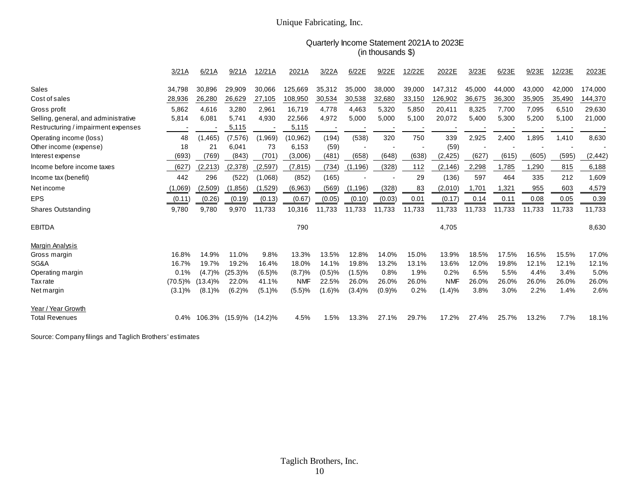#### Quarterly Income Statement 2021A to 2023E (in thousands \$)

|                                      | 3/21A      | 6/21A      | 9/21A          | 12/21A     | 2021A      | 3/22A  | 6/22E    | 9/22E  | 12/22E | 2022E      | 3/23E        | 6/23E  | 9/23E  | 12/23E | 2023E    |
|--------------------------------------|------------|------------|----------------|------------|------------|--------|----------|--------|--------|------------|--------------|--------|--------|--------|----------|
| Sales                                | 34,798     | 30,896     | 29,909         | 30,066     | 125,669    | 35,312 | 35,000   | 38,000 | 39,000 | 147,312    | 45,000       | 44,000 | 43,000 | 42,000 | 174,000  |
| Cost of sales                        | 28,936     | 26,280     | 26,629         | 27,105     | 108,950    | 30,534 | 30,538   | 32,680 | 33,150 | 126,902    | 36,675       | 36,300 | 35,905 | 35,490 | 144,370  |
| Gross profit                         | 5,862      | 4,616      | 3.280          | 2,961      | 16,719     | 4,778  | 4,463    | 5,320  | 5,850  | 20,411     | 8,325        | 7.700  | 7.095  | 6,510  | 29,630   |
| Selling, general, and administrative | 5,814      | 6.081      | 5,741          | 4,930      | 22,566     | 4,972  | 5,000    | 5,000  | 5,100  | 20,072     | 5,400        | 5,300  | 5,200  | 5,100  | 21,000   |
| Restructuring / impairment expenses  |            |            | 5,115          |            | 5,115      |        |          |        |        |            |              |        |        |        |          |
| Operating income (loss)              | 48         | (1, 465)   | (7, 576)       | (1,969)    | (10,962)   | (194)  | (538)    | 320    | 750    | 339        | 2,925        | 2,400  | 1,895  | 1,410  | 8,630    |
| Other income (expense)               | 18         | 21         | 6,041          | 73         | 6,153      | (59)   |          |        |        | (59)       |              |        |        |        |          |
| Interest expense                     | (693)      | (769)      | (843)          | (701)      | (3,006)    | (481)  | (658)    | (648)  | (638)  | (2, 425)   | (627)        | (615)  | (605)  | (595)  | (2, 442) |
| Income before income taxes           | (627)      | (2, 213)   | (2,378)        | (2,597)    | (7, 815)   | (734)  | (1, 196) | (328)  | 112    | (2, 146)   | 2,298        | 1,785  | 1,290  | 815    | 6,188    |
| Income tax (benefit)                 | 442        | 296        | (522)          | (1,068)    | (852)      | (165)  |          |        | 29     | (136)      | 597          | 464    | 335    | 212    | 1,609    |
| Net income                           | (1,069)    | (2,509)    | (1,856)        | (1,529)    | (6,963)    | (569   | (1, 196) | (328)  | 83     | (2,010)    | <u>1,701</u> | 1,321  | 955    | 603    | 4,579    |
| <b>EPS</b>                           | (0.11)     | (0.26)     | (0.19)         | (0.13)     | (0.67)     | (0.05) | (0.10)   | (0.03) | 0.01   | (0.17)     | 0.14         | 0.11   | 0.08   | 0.05   | 0.39     |
| Shares Outstanding                   | 9,780      | 9,780      | 9,970          | 11,733     | 10,316     | 11,733 | 11,733   | 11,733 | 11,733 | 11,733     | 11,733       | 11,733 | 11,733 | 11,733 | 11,733   |
| <b>EBITDA</b>                        |            |            |                |            | 790        |        |          |        |        | 4,705      |              |        |        |        | 8,630    |
| <b>Margin Analysis</b>               |            |            |                |            |            |        |          |        |        |            |              |        |        |        |          |
| Gross margin                         | 16.8%      | 14.9%      | 11.0%          | 9.8%       | 13.3%      | 13.5%  | 12.8%    | 14.0%  | 15.0%  | 13.9%      | 18.5%        | 17.5%  | 16.5%  | 15.5%  | 17.0%    |
| SG&A                                 | 16.7%      | 19.7%      | 19.2%          | 16.4%      | 18.0%      | 14.1%  | 19.8%    | 13.2%  | 13.1%  | 13.6%      | 12.0%        | 19.8%  | 12.1%  | 12.1%  | 12.1%    |
| Operating margin                     | 0.1%       | $(4.7)\%$  | $(25.3)\%$     | (6.5)%     | (8.7)%     | (0.5)% | (1.5)%   | 0.8%   | 1.9%   | 0.2%       | 6.5%         | 5.5%   | 4.4%   | 3.4%   | 5.0%     |
| <b>Tax</b> rate                      | $(70.5)\%$ | $(13.4)\%$ | 22.0%          | 41.1%      | <b>NMF</b> | 22.5%  | 26.0%    | 26.0%  | 26.0%  | <b>NMF</b> | 26.0%        | 26.0%  | 26.0%  | 26.0%  | 26.0%    |
| Net margin                           | $(3.1)\%$  | $(8.1)$ %  | (6.2)%         | (5.1)%     | (5.5)%     | (1.6)% | (3.4)%   | (0.9)% | 0.2%   | (1.4)%     | 3.8%         | 3.0%   | 2.2%   | 1.4%   | 2.6%     |
| Year / Year Growth                   |            |            |                |            |            |        |          |        |        |            |              |        |        |        |          |
| <b>Total Revenues</b>                | 0.4%       |            | 106.3% (15.9)% | $(14.2)\%$ | 4.5%       | 1.5%   | 13.3%    | 27.1%  | 29.7%  | 17.2%      | 27.4%        | 25.7%  | 13.2%  | 7.7%   | 18.1%    |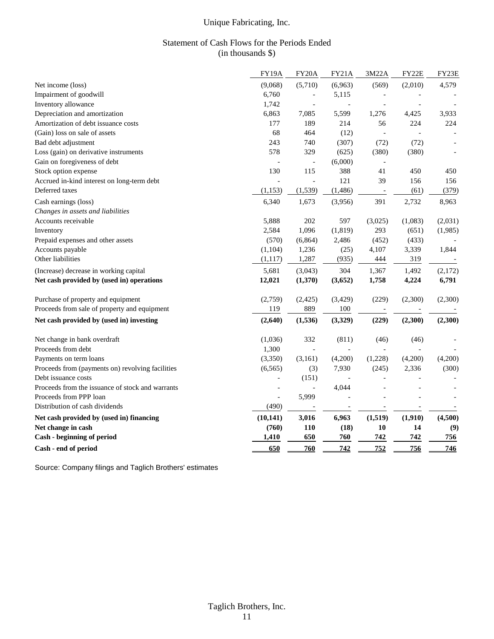#### Statement of Cash Flows for the Periods Ended (in thousands \$)

|                                                  | FY19A                    | FY20A                    | FY21A                    | 3M22A               | FY22E   | FY23E                    |
|--------------------------------------------------|--------------------------|--------------------------|--------------------------|---------------------|---------|--------------------------|
| Net income (loss)                                | (9,068)                  | (5,710)                  | (6,963)                  | (569)               | (2,010) | 4,579                    |
| Impairment of goodwill                           | 6,760                    | $\overline{\phantom{a}}$ | 5,115                    | $\overline{a}$      |         |                          |
| Inventory allowance                              | 1,742                    | $\overline{a}$           | $\bar{a}$                | $\overline{a}$      |         |                          |
| Depreciation and amortization                    | 6,863                    | 7,085                    | 5,599                    | 1,276               | 4,425   | 3,933                    |
| Amortization of debt issuance costs              | 177                      | 189                      | 214                      | 56                  | 224     | 224                      |
| (Gain) loss on sale of assets                    | 68                       | 464                      | (12)                     | $\bar{\phantom{a}}$ |         |                          |
| Bad debt adjustment                              | 243                      | 740                      | (307)                    | (72)                | (72)    | $\overline{\phantom{a}}$ |
| Loss (gain) on derivative instruments            | 578                      | 329                      | (625)                    | (380)               | (380)   | $\blacksquare$           |
| Gain on foregiveness of debt                     | $\overline{a}$           | $\overline{\phantom{a}}$ | (6,000)                  | $\overline{a}$      |         |                          |
| Stock option expense                             | 130                      | 115                      | 388                      | 41                  | 450     | 450                      |
| Accrued in-kind interest on long-term debt       | $\overline{\phantom{a}}$ | $\overline{\phantom{a}}$ | 121                      | 39                  | 156     | 156                      |
| Deferred taxes                                   | (1, 153)                 | (1, 539)                 | (1, 486)                 | $\qquad \qquad -$   | (61)    | (379)                    |
| Cash earnings (loss)                             | 6,340                    | 1,673                    | (3,956)                  | 391                 | 2,732   | 8,963                    |
| Changes in assets and liabilities                |                          |                          |                          |                     |         |                          |
| Accounts receivable                              | 5,888                    | 202                      | 597                      | (3,025)             | (1,083) | (2,031)                  |
| Inventory                                        | 2,584                    | 1,096                    | (1, 819)                 | 293                 | (651)   | (1,985)                  |
| Prepaid expenses and other assets                | (570)                    | (6, 864)                 | 2,486                    | (452)               | (433)   |                          |
| Accounts payable                                 | (1,104)                  | 1,236                    | (25)                     | 4,107               | 3,339   | 1,844                    |
| Other liabilities                                | (1,117)                  | 1,287                    | (935)                    | 444                 | 319     |                          |
| (Increase) decrease in working capital           | 5,681                    | (3,043)                  | 304                      | 1,367               | 1,492   | (2,172)                  |
| Net cash provided by (used in) operations        | 12,021                   | (1,370)                  | (3,652)                  | 1,758               | 4,224   | 6,791                    |
| Purchase of property and equipment               | (2,759)                  | (2,425)                  | (3,429)                  | (229)               | (2,300) | (2,300)                  |
| Proceeds from sale of property and equipment     | 119                      | 889                      | 100                      |                     |         |                          |
| Net cash provided by (used in) investing         | (2,640)                  | (1, 536)                 | (3,329)                  | (229)               | (2,300) | (2,300)                  |
| Net change in bank overdraft                     | (1,036)                  | 332                      | (811)                    | (46)                | (46)    |                          |
| Proceeds from debt                               | 1,300                    | $\overline{\phantom{a}}$ | $\overline{\phantom{a}}$ | $\overline{a}$      |         |                          |
| Payments on term loans                           | (3,350)                  | (3,161)                  | (4,200)                  | (1,228)             | (4,200) | (4,200)                  |
| Proceeds from (payments on) revolving facilities | (6, 565)                 | (3)                      | 7,930                    | (245)               | 2,336   | (300)                    |
| Debt issuance costs                              |                          | (151)                    |                          |                     |         |                          |
| Proceeds from the issuance of stock and warrants | $\overline{\phantom{0}}$ | $\overline{a}$           | 4,044                    |                     |         |                          |
| Proceeds from PPP loan                           | $\overline{\phantom{a}}$ | 5,999                    |                          |                     |         |                          |
| Distribution of cash dividends                   | (490)                    | $\overline{a}$           | $\overline{\phantom{a}}$ |                     |         |                          |
| Net cash provided by (used in) financing         | (10, 141)                | 3,016                    | 6,963                    | (1, 519)            | (1,910) | (4,500)                  |
| Net change in cash                               | (760)                    | 110                      | (18)                     | 10                  | 14      | (9)                      |
| Cash - beginning of period                       | 1,410                    | 650                      | 760                      | 742                 | 742     | 756                      |
| Cash - end of period                             | 650                      | 760                      | 742                      | 752                 | 756     | 746                      |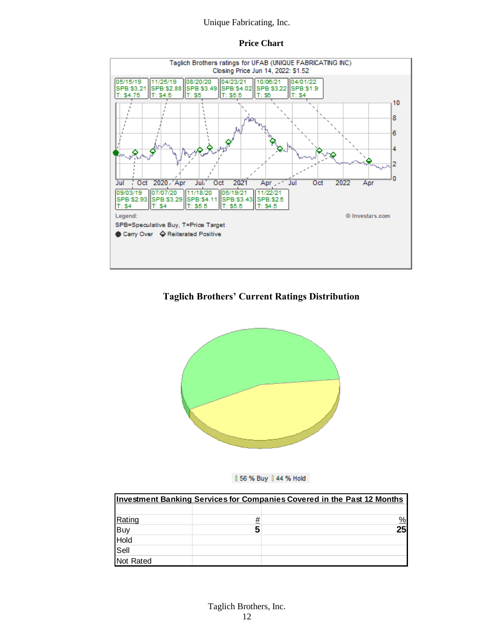#### **Price Chart**



#### **Taglich Brothers' Current Ratings Distribution**





| <b>Investment Banking Services for Companies Covered in the Past 12 Months</b> |          |               |  |  |  |  |  |
|--------------------------------------------------------------------------------|----------|---------------|--|--|--|--|--|
|                                                                                |          |               |  |  |  |  |  |
|                                                                                | <u>#</u> | $\frac{9}{6}$ |  |  |  |  |  |
|                                                                                |          | 25            |  |  |  |  |  |
|                                                                                |          |               |  |  |  |  |  |
| Rating<br>Buy<br>Hold<br>Sell                                                  |          |               |  |  |  |  |  |
| Not Rated                                                                      |          |               |  |  |  |  |  |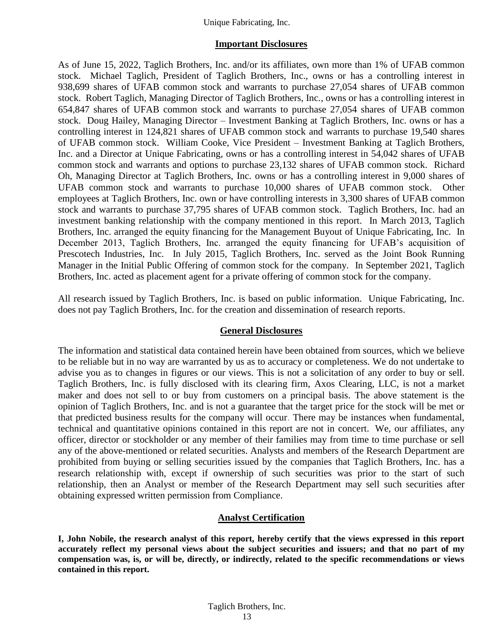#### **Important Disclosures**

As of June 15, 2022, Taglich Brothers, Inc. and/or its affiliates, own more than 1% of UFAB common stock. Michael Taglich, President of Taglich Brothers, Inc., owns or has a controlling interest in 938,699 shares of UFAB common stock and warrants to purchase 27,054 shares of UFAB common stock. Robert Taglich, Managing Director of Taglich Brothers, Inc., owns or has a controlling interest in 654,847 shares of UFAB common stock and warrants to purchase 27,054 shares of UFAB common stock. Doug Hailey, Managing Director – Investment Banking at Taglich Brothers, Inc. owns or has a controlling interest in 124,821 shares of UFAB common stock and warrants to purchase 19,540 shares of UFAB common stock. William Cooke, Vice President – Investment Banking at Taglich Brothers, Inc. and a Director at Unique Fabricating, owns or has a controlling interest in 54,042 shares of UFAB common stock and warrants and options to purchase 23,132 shares of UFAB common stock. Richard Oh, Managing Director at Taglich Brothers, Inc. owns or has a controlling interest in 9,000 shares of UFAB common stock and warrants to purchase 10,000 shares of UFAB common stock. Other employees at Taglich Brothers, Inc. own or have controlling interests in 3,300 shares of UFAB common stock and warrants to purchase 37,795 shares of UFAB common stock. Taglich Brothers, Inc. had an investment banking relationship with the company mentioned in this report. In March 2013, Taglich Brothers, Inc. arranged the equity financing for the Management Buyout of Unique Fabricating, Inc. In December 2013, Taglich Brothers, Inc. arranged the equity financing for UFAB's acquisition of Prescotech Industries, Inc. In July 2015, Taglich Brothers, Inc. served as the Joint Book Running Manager in the Initial Public Offering of common stock for the company. In September 2021, Taglich Brothers, Inc. acted as placement agent for a private offering of common stock for the company.

All research issued by Taglich Brothers, Inc. is based on public information. Unique Fabricating, Inc. does not pay Taglich Brothers, Inc. for the creation and dissemination of research reports.

#### **General Disclosures**

The information and statistical data contained herein have been obtained from sources, which we believe to be reliable but in no way are warranted by us as to accuracy or completeness. We do not undertake to advise you as to changes in figures or our views. This is not a solicitation of any order to buy or sell. Taglich Brothers, Inc. is fully disclosed with its clearing firm, Axos Clearing, LLC, is not a market maker and does not sell to or buy from customers on a principal basis. The above statement is the opinion of Taglich Brothers, Inc. and is not a guarantee that the target price for the stock will be met or that predicted business results for the company will occur. There may be instances when fundamental, technical and quantitative opinions contained in this report are not in concert. We, our affiliates, any officer, director or stockholder or any member of their families may from time to time purchase or sell any of the above-mentioned or related securities. Analysts and members of the Research Department are prohibited from buying or selling securities issued by the companies that Taglich Brothers, Inc. has a research relationship with, except if ownership of such securities was prior to the start of such relationship, then an Analyst or member of the Research Department may sell such securities after obtaining expressed written permission from Compliance.

#### **Analyst Certification**

**I, John Nobile, the research analyst of this report, hereby certify that the views expressed in this report accurately reflect my personal views about the subject securities and issuers; and that no part of my compensation was, is, or will be, directly, or indirectly, related to the specific recommendations or views contained in this report.**